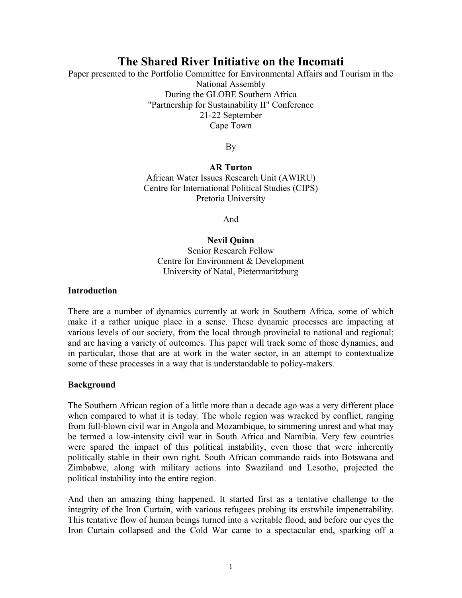# **The Shared River Initiative on the Incomati**

Paper presented to the Portfolio Committee for Environmental Affairs and Tourism in the National Assembly During the GLOBE Southern Africa "Partnership for Sustainability II" Conference 21-22 September Cape Town

By

## **AR Turton**

African Water Issues Research Unit (AWIRU) Centre for International Political Studies (CIPS) Pretoria University

And

#### **Nevil Quinn** Senior Research Fellow Centre for Environment & Development University of Natal, Pietermaritzburg

#### **Introduction**

There are a number of dynamics currently at work in Southern Africa, some of which make it a rather unique place in a sense. These dynamic processes are impacting at various levels of our society, from the local through provincial to national and regional; and are having a variety of outcomes. This paper will track some of those dynamics, and in particular, those that are at work in the water sector, in an attempt to contextualize some of these processes in a way that is understandable to policy-makers.

#### **Background**

The Southern African region of a little more than a decade ago was a very different place when compared to what it is today. The whole region was wracked by conflict, ranging from full-blown civil war in Angola and Mozambique, to simmering unrest and what may be termed a low-intensity civil war in South Africa and Namibia. Very few countries were spared the impact of this political instability, even those that were inherently politically stable in their own right. South African commando raids into Botswana and Zimbabwe, along with military actions into Swaziland and Lesotho, projected the political instability into the entire region.

And then an amazing thing happened. It started first as a tentative challenge to the integrity of the Iron Curtain, with various refugees probing its erstwhile impenetrability. This tentative flow of human beings turned into a veritable flood, and before our eyes the Iron Curtain collapsed and the Cold War came to a spectacular end, sparking off a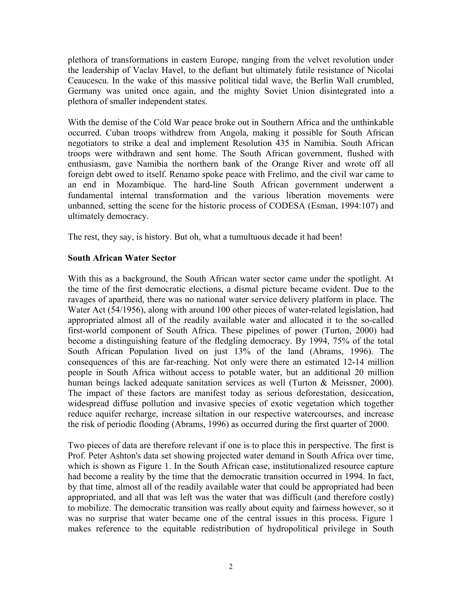plethora of transformations in eastern Europe, ranging from the velvet revolution under the leadership of Vaclav Havel, to the defiant but ultimately futile resistance of Nicolai Ceaucescu. In the wake of this massive political tidal wave, the Berlin Wall crumbled, Germany was united once again, and the mighty Soviet Union disintegrated into a plethora of smaller independent states.

With the demise of the Cold War peace broke out in Southern Africa and the unthinkable occurred. Cuban troops withdrew from Angola, making it possible for South African negotiators to strike a deal and implement Resolution 435 in Namibia. South African troops were withdrawn and sent home. The South African government, flushed with enthusiasm, gave Namibia the northern bank of the Orange River and wrote off all foreign debt owed to itself. Renamo spoke peace with Frelimo, and the civil war came to an end in Mozambique. The hard-line South African government underwent a fundamental internal transformation and the various liberation movements were unbanned, setting the scene for the historic process of CODESA (Esman, 1994:107) and ultimately democracy.

The rest, they say, is history. But oh, what a tumultuous decade it had been!

#### **South African Water Sector**

With this as a background, the South African water sector came under the spotlight. At the time of the first democratic elections, a dismal picture became evident. Due to the ravages of apartheid, there was no national water service delivery platform in place. The Water Act (54/1956), along with around 100 other pieces of water-related legislation, had appropriated almost all of the readily available water and allocated it to the so-called first-world component of South Africa. These pipelines of power (Turton, 2000) had become a distinguishing feature of the fledgling democracy. By 1994, 75% of the total South African Population lived on just 13% of the land (Abrams, 1996). The consequences of this are far-reaching. Not only were there an estimated 12-14 million people in South Africa without access to potable water, but an additional 20 million human beings lacked adequate sanitation services as well (Turton & Meissner, 2000). The impact of these factors are manifest today as serious deforestation, desiccation, widespread diffuse pollution and invasive species of exotic vegetation which together reduce aquifer recharge, increase siltation in our respective watercourses, and increase the risk of periodic flooding (Abrams, 1996) as occurred during the first quarter of 2000.

Two pieces of data are therefore relevant if one is to place this in perspective. The first is Prof. Peter Ashton's data set showing projected water demand in South Africa over time, which is shown as Figure 1. In the South African case, institutionalized resource capture had become a reality by the time that the democratic transition occurred in 1994. In fact, by that time, almost all of the readily available water that could be appropriated had been appropriated, and all that was left was the water that was difficult (and therefore costly) to mobilize. The democratic transition was really about equity and fairness however, so it was no surprise that water became one of the central issues in this process. Figure 1 makes reference to the equitable redistribution of hydropolitical privilege in South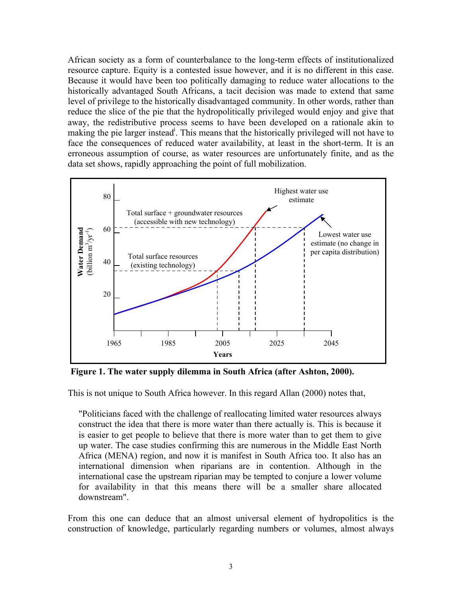African society as a form of counterbalance to the long-term effects of institutionalized resource capture. Equity is a contested issue however, and it is no different in this case. Because it would have been too politically damaging to reduce water allocations to the historically advantaged South Africans, a tacit decision was made to extend that same level of privilege to the historically disadvantaged community. In other words, rather than reduce the slice of the pie that the hydropolitically privileged would enjoy and give that away, the redistributive process seems to have been developed on a rationale akin to making the pie larger instead<sup>i</sup>. This means that the historically privileged will not have to face the consequences of reduced water availability, at least in the short-term. It is an erroneous assumption of course, as water resources are unfortunately finite, and as the data set shows, rapidly approaching the point of full mobilization.



**Figure 1. The water supply dilemma in South Africa (after Ashton, 2000).** 

This is not unique to South Africa however. In this regard Allan (2000) notes that,

"Politicians faced with the challenge of reallocating limited water resources always construct the idea that there is more water than there actually is. This is because it is easier to get people to believe that there is more water than to get them to give up water. The case studies confirming this are numerous in the Middle East North Africa (MENA) region, and now it is manifest in South Africa too. It also has an international dimension when riparians are in contention. Although in the international case the upstream riparian may be tempted to conjure a lower volume for availability in that this means there will be a smaller share allocated downstream".

From this one can deduce that an almost universal element of hydropolitics is the construction of knowledge, particularly regarding numbers or volumes, almost always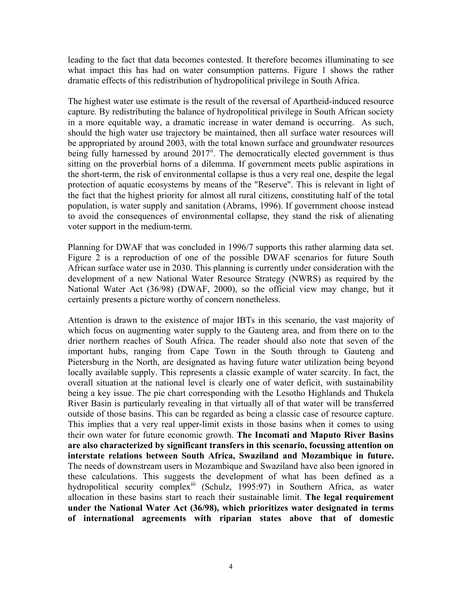leading to the fact that data becomes contested. It therefore becomes illuminating to see what impact this has had on water consumption patterns. Figure 1 shows the rather dramatic effects of this redistribution of hydropolitical privilege in South Africa.

The highest water use estimate is the result of the reversal of Apartheid-induced resource capture. By redistributing the balance of hydropolitical privilege in South African society in a more equitable way, a dramatic increase in water demand is occurring. As such, should the high water use trajectory be maintained, then all surface water resources will be appropriated by around 2003, with the total known surface and groundwater resources being fully harnessed by around  $2017^{\text{ii}}$ . The democratically elected government is thus sitting on the proverbial horns of a dilemma. If government meets public aspirations in the short-term, the risk of environmental collapse is thus a very real one, despite the legal protection of aquatic ecosystems by means of the "Reserve". This is relevant in light of the fact that the highest priority for almost all rural citizens, constituting half of the total population, is water supply and sanitation (Abrams, 1996). If government choose instead to avoid the consequences of environmental collapse, they stand the risk of alienating voter support in the medium-term.

Planning for DWAF that was concluded in 1996/7 supports this rather alarming data set. Figure 2 is a reproduction of one of the possible DWAF scenarios for future South African surface water use in 2030. This planning is currently under consideration with the development of a new National Water Resource Strategy (NWRS) as required by the National Water Act (36/98) (DWAF, 2000), so the official view may change, but it certainly presents a picture worthy of concern nonetheless.

Attention is drawn to the existence of major IBTs in this scenario, the vast majority of which focus on augmenting water supply to the Gauteng area, and from there on to the drier northern reaches of South Africa. The reader should also note that seven of the important hubs, ranging from Cape Town in the South through to Gauteng and Pietersburg in the North, are designated as having future water utilization being beyond locally available supply. This represents a classic example of water scarcity. In fact, the overall situation at the national level is clearly one of water deficit, with sustainability being a key issue. The pie chart corresponding with the Lesotho Highlands and Thukela River Basin is particularly revealing in that virtually all of that water will be transferred outside of those basins. This can be regarded as being a classic case of resource capture. This implies that a very real upper-limit exists in those basins when it comes to using their own water for future economic growth. **The Incomati and Maputo River Basins are also characterized by significant transfers in this scenario, focussing attention on interstate relations between South Africa, Swaziland and Mozambique in future.** The needs of downstream users in Mozambique and Swaziland have also been ignored in these calculations. This suggests the development of what has been defined as a hydropolitical security complex<sup>iii</sup> (Schulz, 1995:97) in Southern Africa, as water allocation in these basins start to reach their sustainable limit. **The legal requirement under the National Water Act (36/98), which prioritizes water designated in terms of international agreements with riparian states above that of domestic**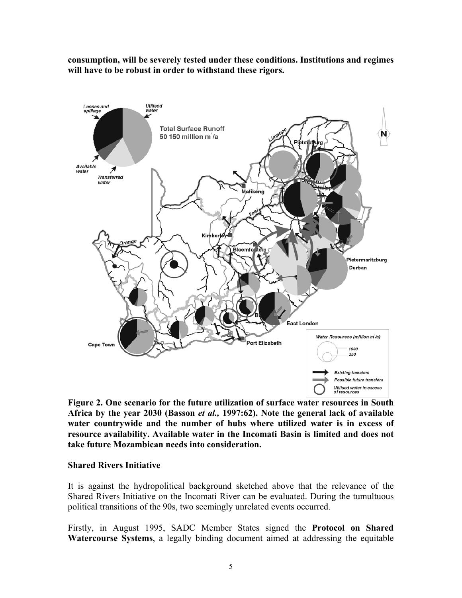**consumption, will be severely tested under these conditions. Institutions and regimes will have to be robust in order to withstand these rigors.** 



**Figure 2. One scenario for the future utilization of surface water resources in South Africa by the year 2030 (Basson** *et al.,* **1997:62). Note the general lack of available water countrywide and the number of hubs where utilized water is in excess of resource availability. Available water in the Incomati Basin is limited and does not take future Mozambican needs into consideration.** 

#### **Shared Rivers Initiative**

It is against the hydropolitical background sketched above that the relevance of the Shared Rivers Initiative on the Incomati River can be evaluated. During the tumultuous political transitions of the 90s, two seemingly unrelated events occurred.

Firstly, in August 1995, SADC Member States signed the **Protocol on Shared Watercourse Systems**, a legally binding document aimed at addressing the equitable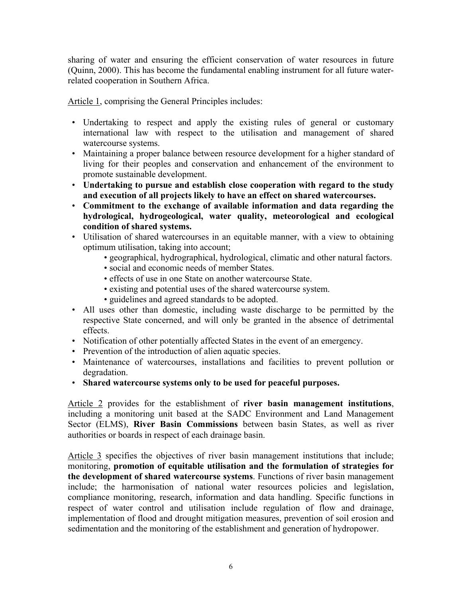sharing of water and ensuring the efficient conservation of water resources in future (Quinn, 2000). This has become the fundamental enabling instrument for all future waterrelated cooperation in Southern Africa.

Article 1, comprising the General Principles includes:

- Undertaking to respect and apply the existing rules of general or customary international law with respect to the utilisation and management of shared watercourse systems.
- Maintaining a proper balance between resource development for a higher standard of living for their peoples and conservation and enhancement of the environment to promote sustainable development.
- **Undertaking to pursue and establish close cooperation with regard to the study and execution of all projects likely to have an effect on shared watercourses.**
- **Commitment to the exchange of available information and data regarding the hydrological, hydrogeological, water quality, meteorological and ecological condition of shared systems.**
- Utilisation of shared watercourses in an equitable manner, with a view to obtaining optimum utilisation, taking into account;
	- geographical, hydrographical, hydrological, climatic and other natural factors.
	- social and economic needs of member States.
	- effects of use in one State on another watercourse State.
	- existing and potential uses of the shared watercourse system.
	- guidelines and agreed standards to be adopted.
- All uses other than domestic, including waste discharge to be permitted by the respective State concerned, and will only be granted in the absence of detrimental effects.
- Notification of other potentially affected States in the event of an emergency.
- Prevention of the introduction of alien aquatic species.
- Maintenance of watercourses, installations and facilities to prevent pollution or degradation.
- **Shared watercourse systems only to be used for peaceful purposes.**

Article 2 provides for the establishment of **river basin management institutions**, including a monitoring unit based at the SADC Environment and Land Management Sector (ELMS), **River Basin Commissions** between basin States, as well as river authorities or boards in respect of each drainage basin.

Article 3 specifies the objectives of river basin management institutions that include; monitoring, **promotion of equitable utilisation and the formulation of strategies for the development of shared watercourse systems**. Functions of river basin management include; the harmonisation of national water resources policies and legislation, compliance monitoring, research, information and data handling. Specific functions in respect of water control and utilisation include regulation of flow and drainage, implementation of flood and drought mitigation measures, prevention of soil erosion and sedimentation and the monitoring of the establishment and generation of hydropower.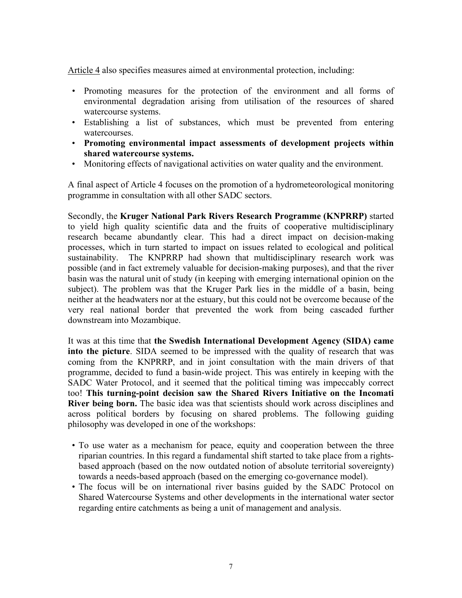Article 4 also specifies measures aimed at environmental protection, including:

- Promoting measures for the protection of the environment and all forms of environmental degradation arising from utilisation of the resources of shared watercourse systems.
- Establishing a list of substances, which must be prevented from entering watercourses.
- **Promoting environmental impact assessments of development projects within shared watercourse systems.**
- Monitoring effects of navigational activities on water quality and the environment.

A final aspect of Article 4 focuses on the promotion of a hydrometeorological monitoring programme in consultation with all other SADC sectors.

Secondly, the **Kruger National Park Rivers Research Programme (KNPRRP)** started to yield high quality scientific data and the fruits of cooperative multidisciplinary research became abundantly clear. This had a direct impact on decision-making processes, which in turn started to impact on issues related to ecological and political sustainability. The KNPRRP had shown that multidisciplinary research work was possible (and in fact extremely valuable for decision-making purposes), and that the river basin was the natural unit of study (in keeping with emerging international opinion on the subject). The problem was that the Kruger Park lies in the middle of a basin, being neither at the headwaters nor at the estuary, but this could not be overcome because of the very real national border that prevented the work from being cascaded further downstream into Mozambique.

It was at this time that **the Swedish International Development Agency (SIDA) came into the picture**. SIDA seemed to be impressed with the quality of research that was coming from the KNPRRP, and in joint consultation with the main drivers of that programme, decided to fund a basin-wide project. This was entirely in keeping with the SADC Water Protocol, and it seemed that the political timing was impeccably correct too! **This turning-point decision saw the Shared Rivers Initiative on the Incomati River being born.** The basic idea was that scientists should work across disciplines and across political borders by focusing on shared problems. The following guiding philosophy was developed in one of the workshops:

- To use water as a mechanism for peace, equity and cooperation between the three riparian countries. In this regard a fundamental shift started to take place from a rightsbased approach (based on the now outdated notion of absolute territorial sovereignty) towards a needs-based approach (based on the emerging co-governance model).
- The focus will be on international river basins guided by the SADC Protocol on Shared Watercourse Systems and other developments in the international water sector regarding entire catchments as being a unit of management and analysis.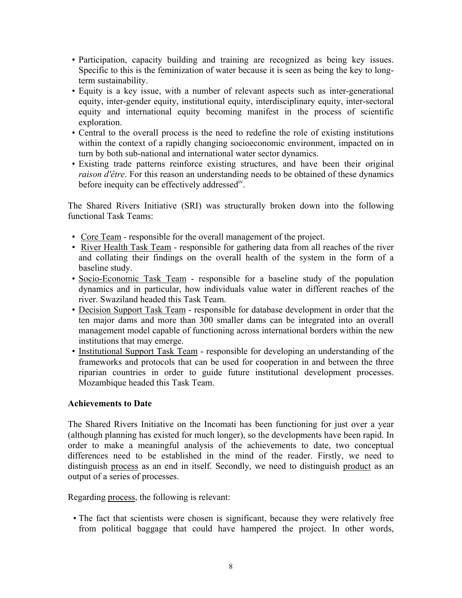- Participation, capacity building and training are recognized as being key issues. Specific to this is the feminization of water because it is seen as being the key to longterm sustainability.
- Equity is a key issue, with a number of relevant aspects such as inter-generational equity, inter-gender equity, institutional equity, interdisciplinary equity, inter-sectoral equity and international equity becoming manifest in the process of scientific exploration.
- Central to the overall process is the need to redefine the role of existing institutions within the context of a rapidly changing socioeconomic environment, impacted on in turn by both sub-national and international water sector dynamics.
- Existing trade patterns reinforce existing structures, and have been their original *raison d'être*. For this reason an understanding needs to be obtained of these dynamics before inequity can be effectively addressed<sup>iv</sup>.

The Shared Rivers Initiative (SRI) was structurally broken down into the following functional Task Teams:

- Core Team responsible for the overall management of the project.
- River Health Task Team responsible for gathering data from all reaches of the river and collating their findings on the overall health of the system in the form of a baseline study.
- Socio-Economic Task Team responsible for a baseline study of the population dynamics and in particular, how individuals value water in different reaches of the river. Swaziland headed this Task Team.
- Decision Support Task Team responsible for database development in order that the ten major dams and more than 300 smaller dams can be integrated into an overall management model capable of functioning across international borders within the new institutions that may emerge.
- Institutional Support Task Team responsible for developing an understanding of the frameworks and protocols that can be used for cooperation in and between the three riparian countries in order to guide future institutional development processes. Mozambique headed this Task Team.

### **Achievements to Date**

The Shared Rivers Initiative on the Incomati has been functioning for just over a year (although planning has existed for much longer), so the developments have been rapid. In order to make a meaningful analysis of the achievements to date, two conceptual differences need to be established in the mind of the reader. Firstly, we need to distinguish process as an end in itself. Secondly, we need to distinguish product as an output of a series of processes.

Regarding process, the following is relevant:

• The fact that scientists were chosen is significant, because they were relatively free from political baggage that could have hampered the project. In other words,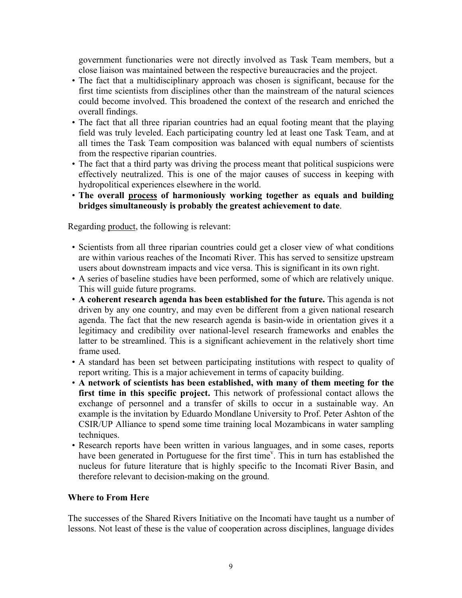government functionaries were not directly involved as Task Team members, but a close liaison was maintained between the respective bureaucracies and the project.

- The fact that a multidisciplinary approach was chosen is significant, because for the first time scientists from disciplines other than the mainstream of the natural sciences could become involved. This broadened the context of the research and enriched the overall findings.
- The fact that all three riparian countries had an equal footing meant that the playing field was truly leveled. Each participating country led at least one Task Team, and at all times the Task Team composition was balanced with equal numbers of scientists from the respective riparian countries.
- The fact that a third party was driving the process meant that political suspicions were effectively neutralized. This is one of the major causes of success in keeping with hydropolitical experiences elsewhere in the world.
- **The overall process of harmoniously working together as equals and building bridges simultaneously is probably the greatest achievement to date**.

Regarding product, the following is relevant:

- Scientists from all three riparian countries could get a closer view of what conditions are within various reaches of the Incomati River. This has served to sensitize upstream users about downstream impacts and vice versa. This is significant in its own right.
- A series of baseline studies have been performed, some of which are relatively unique. This will guide future programs.
- **A coherent research agenda has been established for the future.** This agenda is not driven by any one country, and may even be different from a given national research agenda. The fact that the new research agenda is basin-wide in orientation gives it a legitimacy and credibility over national-level research frameworks and enables the latter to be streamlined. This is a significant achievement in the relatively short time frame used.
- A standard has been set between participating institutions with respect to quality of report writing. This is a major achievement in terms of capacity building.
- **A network of scientists has been established, with many of them meeting for the first time in this specific project.** This network of professional contact allows the exchange of personnel and a transfer of skills to occur in a sustainable way. An example is the invitation by Eduardo Mondlane University to Prof. Peter Ashton of the CSIR/UP Alliance to spend some time training local Mozambicans in water sampling techniques.
- Research reports have been written in various languages, and in some cases, reports ha[v](#page-11-4)e been generated in Portuguese for the first time<sup>y</sup>. This in turn has established the nucleus for future literature that is highly specific to the Incomati River Basin, and therefore relevant to decision-making on the ground.

### **Where to From Here**

The successes of the Shared Rivers Initiative on the Incomati have taught us a number of lessons. Not least of these is the value of cooperation across disciplines, language divides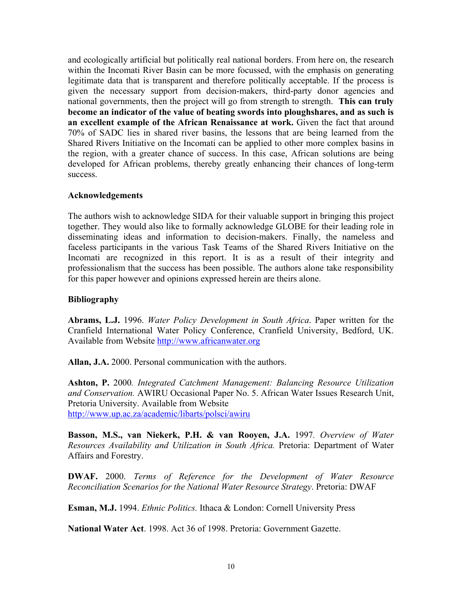and ecologically artificial but politically real national borders. From here on, the research within the Incomati River Basin can be more focussed, with the emphasis on generating legitimate data that is transparent and therefore politically acceptable. If the process is given the necessary support from decision-makers, third-party donor agencies and national governments, then the project will go from strength to strength. **This can truly become an indicator of the value of beating swords into ploughshares, and as such is an excellent example of the African Renaissance at work.** Given the fact that around 70% of SADC lies in shared river basins, the lessons that are being learned from the Shared Rivers Initiative on the Incomati can be applied to other more complex basins in the region, with a greater chance of success. In this case, African solutions are being developed for African problems, thereby greatly enhancing their chances of long-term success.

#### **Acknowledgements**

The authors wish to acknowledge SIDA for their valuable support in bringing this project together. They would also like to formally acknowledge GLOBE for their leading role in disseminating ideas and information to decision-makers. Finally, the nameless and faceless participants in the various Task Teams of the Shared Rivers Initiative on the Incomati are recognized in this report. It is as a result of their integrity and professionalism that the success has been possible. The authors alone take responsibility for this paper however and opinions expressed herein are theirs alone.

#### **Bibliography**

**Abrams, L.J.** 1996. *Water Policy Development in South Africa*. Paper written for the Cranfield International Water Policy Conference, Cranfield University, Bedford, UK. Available from Website [http://www.africanwater.org](http://www.africanwater.org/)

**Allan, J.A.** 2000. Personal communication with the authors.

**Ashton, P.** 2000*. Integrated Catchment Management: Balancing Resource Utilization and Conservation.* AWIRU Occasional Paper No. 5. African Water Issues Research Unit, Pretoria University. Available from Website <http://www.up.ac.za/academic/libarts/polsci/awiru>

**Basson, M.S., van Niekerk, P.H. & van Rooyen, J.A.** 1997*. Overview of Water Resources Availability and Utilization in South Africa.* Pretoria: Department of Water Affairs and Forestry.

**DWAF.** 2000. *Terms of Reference for the Development of Water Resource Reconciliation Scenarios for the National Water Resource Strategy*. Pretoria: DWAF

**Esman, M.J.** 1994. *Ethnic Politics.* Ithaca & London: Cornell University Press

**National Water Act**. 1998. Act 36 of 1998. Pretoria: Government Gazette.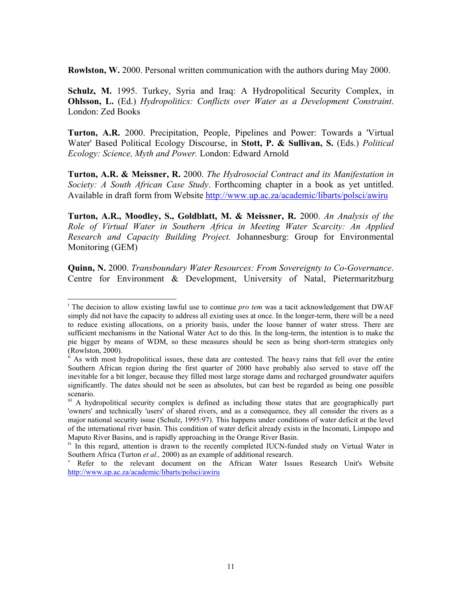**Rowlston, W.** 2000. Personal written communication with the authors during May 2000.

**Schulz, M.** 1995. Turkey, Syria and Iraq: A Hydropolitical Security Complex, in **Ohlsson, L.** (Ed.) *Hydropolitics: Conflicts over Water as a Development Constraint*. London: Zed Books

**Turton, A.R.** 2000. Precipitation, People, Pipelines and Power: Towards a 'Virtual Water' Based Political Ecology Discourse, in **Stott, P. & Sullivan, S.** (Eds.) *Political Ecology: Science, Myth and Power.* London: Edward Arnold

**Turton, A.R. & Meissner, R.** 2000. *The Hydrosocial Contract and its Manifestation in Society: A South African Case Study*. Forthcoming chapter in a book as yet untitled. Available in draft form from Website <http://www.up.ac.za/academic/libarts/polsci/awiru>

**Turton, A.R., Moodley, S., Goldblatt, M. & Meissner, R.** 2000. *An Analysis of the Role of Virtual Water in Southern Africa in Meeting Water Scarcity: An Applied Research and Capacity Building Project.* Johannesburg: Group for Environmental Monitoring (GEM)

**Quinn, N.** 2000. *Transboundary Water Resources: From Sovereignty to Co-Governance*. Centre for Environment & Development, University of Natal, Pietermaritzburg

 $\overline{\phantom{a}}$ 

<sup>&</sup>lt;sup>i</sup> The decision to allow existing lawful use to continue *pro tem* was a tacit acknowledgement that DWAF simply did not have the capacity to address all existing uses at once. In the longer-term, there will be a need to reduce existing allocations, on a priority basis, under the loose banner of water stress. There are sufficient mechanisms in the National Water Act to do this. In the long-term, the intention is to make the pie bigger by means of WDM, so these measures should be seen as being short-term strategies only (Rowlston, 2000).

 $\hat{I}$ <sup>i</sup> As with most hydropolitical issues, these data are contested. The heavy rains that fell over the entire Southern African region during the first quarter of 2000 have probably also served to stave off the inevitable for a bit longer, because they filled most large storage dams and recharged groundwater aquifers significantly. The dates should not be seen as absolutes, but can best be regarded as being one possible scenario.

iii A hydropolitical security complex is defined as including those states that are geographically part 'owners' and technically 'users' of shared rivers, and as a consequence, they all consider the rivers as a major national security issue (Schulz, 1995:97). This happens under conditions of water deficit at the level of the international river basin. This condition of water deficit already exists in the Incomati, Limpopo and Maputo River Basins, and is rapidly approaching in the Orange River Basin.

<sup>&</sup>lt;sup>iv</sup> In this regard, attention is drawn to the recently completed IUCN-funded study on Virtual Water in Southern Africa (Turton *et al.*, 2000) as an example of additional research.

Refer to the relevant document on the African Water Issues Research Unit's Website <http://www.up.ac.za/academic/libarts/polsci/awiru>